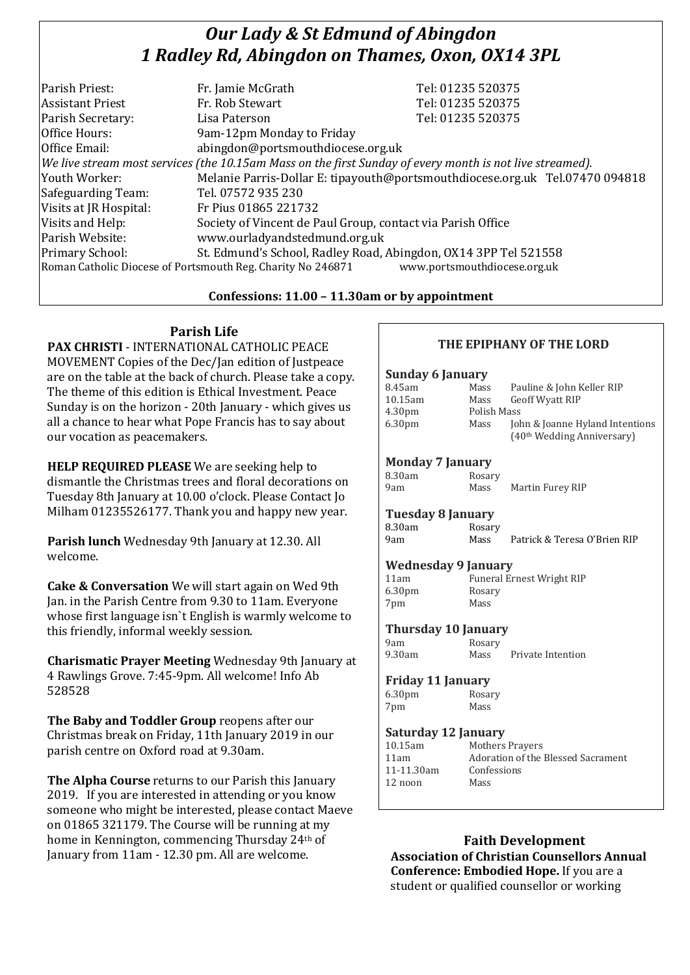# *Our Lady & St Edmund of Abingdon 1 Radley Rd, Abingdon on Thames, Oxon, OX14 3PL*

| Parish Priest:                                                                                           | Fr. Jamie McGrath                                               | Tel: 01235 520375                                                            |
|----------------------------------------------------------------------------------------------------------|-----------------------------------------------------------------|------------------------------------------------------------------------------|
| <b>Assistant Priest</b>                                                                                  | Fr. Rob Stewart                                                 | Tel: 01235 520375                                                            |
| Parish Secretary:                                                                                        | Lisa Paterson                                                   | Tel: 01235 520375                                                            |
| Office Hours:                                                                                            | 9am-12pm Monday to Friday                                       |                                                                              |
| Office Email:                                                                                            | abingdon@portsmouthdiocese.org.uk                               |                                                                              |
| We live stream most services (the 10.15am Mass on the first Sunday of every month is not live streamed). |                                                                 |                                                                              |
| Youth Worker:                                                                                            |                                                                 | Melanie Parris-Dollar E: tipayouth@portsmouthdiocese.org.uk Tel.07470 094818 |
| Safeguarding Team:                                                                                       | Tel. 07572 935 230                                              |                                                                              |
| Visits at JR Hospital:                                                                                   | Fr Pius 01865 221732                                            |                                                                              |
| Visits and Help:                                                                                         | Society of Vincent de Paul Group, contact via Parish Office     |                                                                              |
| Parish Website:                                                                                          | www.ourladyandstedmund.org.uk                                   |                                                                              |
| Primary School:                                                                                          | St. Edmund's School, Radley Road, Abingdon, OX14 3PP Tel 521558 |                                                                              |
| www.portsmouthdiocese.org.uk<br>Roman Catholic Diocese of Portsmouth Reg. Charity No 246871              |                                                                 |                                                                              |

## **Confessions: 11.00 – 11.30am or by appointment**

# **Parish Life**

**PAX CHRISTI** - INTERNATIONAL CATHOLIC PEACE MOVEMENT Copies of the Dec/Jan edition of Justpeace are on the table at the back of church. Please take a copy. The theme of this edition is Ethical Investment. Peace Sunday is on the horizon - 20th January - which gives us all a chance to hear what Pope Francis has to say about our vocation as peacemakers.

**HELP REQUIRED PLEASE** We are seeking help to dismantle the Christmas trees and floral decorations on Tuesday 8th January at 10.00 o'clock. Please Contact Jo Milham 01235526177. Thank you and happy new year.

**Parish lunch** Wednesday 9th January at 12.30. All welcome.

**Cake & Conversation** We will start again on Wed 9th Jan. in the Parish Centre from 9.30 to 11am. Everyone whose first language isn`t English is warmly welcome to this friendly, informal weekly session.

**Charismatic Prayer Meeting** Wednesday 9th January at 4 Rawlings Grove. 7:45-9pm. All welcome! Info Ab 528528

**The Baby and Toddler Group** reopens after our Christmas break on Friday, 11th January 2019 in our parish centre on Oxford road at 9.30am.

**The Alpha Course** returns to our Parish this January 2019. If you are interested in attending or you know someone who might be interested, please contact Maeve on 01865 321179. The Course will be running at my home in Kennington, commencing Thursday 24th of January from 11am - 12.30 pm. All are welcome.

## **THE EPIPHANY OF THE LORD**

## **Sunday 6 January** 8.45am Mass Pauline & John Keller RIP 10.15am Mass Geoff Wyatt RIP 4.30pm Polish Mass 6.30pm Mass John & Joanne Hyland Intentions (40th Wedding Anniversary) **Monday 7 January** 8.30am Rosary 9am Mass Martin Furey RIP **Tuesday 8 January**  8.30am Rosary 9am Mass Patrick & Teresa O'Brien RIP **Wednesday 9 January**  11am Funeral Ernest Wright RIP 6.30pm Rosary 7pm Mass **Thursday 10 January** 9am Rosary<br>9.30am Mass Mass Private Intention **Friday 11 January** 6.30pm Rosary 7pm Mass **Saturday 12 January** 10.15am Mothers Prayers 11am Adoration of the Blessed Sacrament 11-11.30am Confessions

**Faith Development Association of Christian Counsellors Annual Conference: Embodied Hope.** If you are a student or qualified counsellor or working

12 noon Mass